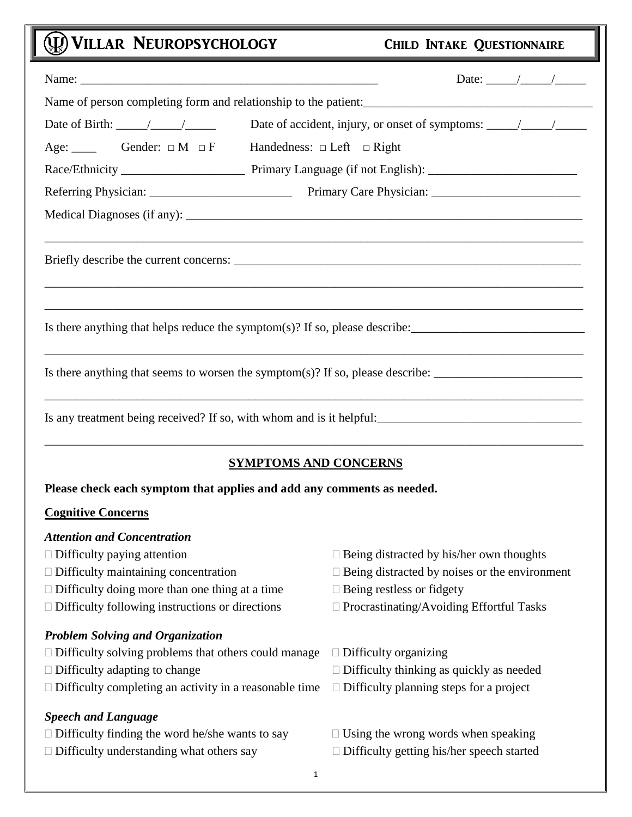## **CO VILLAR NEUROPSYCHOLOGY**

|  |  | <b>CHILD INTAKE QUESTIONNAIRE</b> |
|--|--|-----------------------------------|
|--|--|-----------------------------------|

|                                                                                                                | Date of accident, injury, or onset of symptoms: $\frac{\sqrt{2}}{2}$ |
|----------------------------------------------------------------------------------------------------------------|----------------------------------------------------------------------|
| Age: $\Box$ Gender: $\Box M \Box F$                                                                            | Handedness: $\Box$ Left $\Box$ Right                                 |
|                                                                                                                |                                                                      |
|                                                                                                                |                                                                      |
|                                                                                                                |                                                                      |
|                                                                                                                |                                                                      |
| Is there anything that helps reduce the symptom(s)? If so, please describe: __________________________________ |                                                                      |
| Is there anything that seems to worsen the symptom(s)? If so, please describe: _______________________________ |                                                                      |
| Is any treatment being received? If so, with whom and is it helpful:                                           |                                                                      |
| <b>SYMPTOMS AND CONCERNS</b>                                                                                   |                                                                      |
| Please check each symptom that applies and add any comments as needed.                                         |                                                                      |
| <b>Cognitive Concerns</b>                                                                                      |                                                                      |
| <b>Attention and Concentration</b>                                                                             |                                                                      |
| $\Box$ Difficulty paying attention                                                                             | $\Box$ Being distracted by his/her own thoughts                      |
| $\Box$ Difficulty maintaining concentration                                                                    | $\Box$ Being distracted by noises or the environment                 |
| $\Box$ Difficulty doing more than one thing at a time                                                          | $\Box$ Being restless or fidgety                                     |
| $\Box$ Difficulty following instructions or directions                                                         | □ Procrastinating/Avoiding Effortful Tasks                           |
| <b>Problem Solving and Organization</b>                                                                        |                                                                      |
| $\Box$ Difficulty solving problems that others could manage                                                    | $\Box$ Difficulty organizing                                         |
| $\Box$ Difficulty adapting to change                                                                           | $\Box$ Difficulty thinking as quickly as needed                      |
| $\Box$ Difficulty completing an activity in a reasonable time                                                  | $\Box$ Difficulty planning steps for a project                       |
| <b>Speech and Language</b>                                                                                     |                                                                      |
| $\Box$ Difficulty finding the word he/she wants to say                                                         | $\Box$ Using the wrong words when speaking                           |
| $\Box$ Difficulty understanding what others say                                                                | $\Box$ Difficulty getting his/her speech started                     |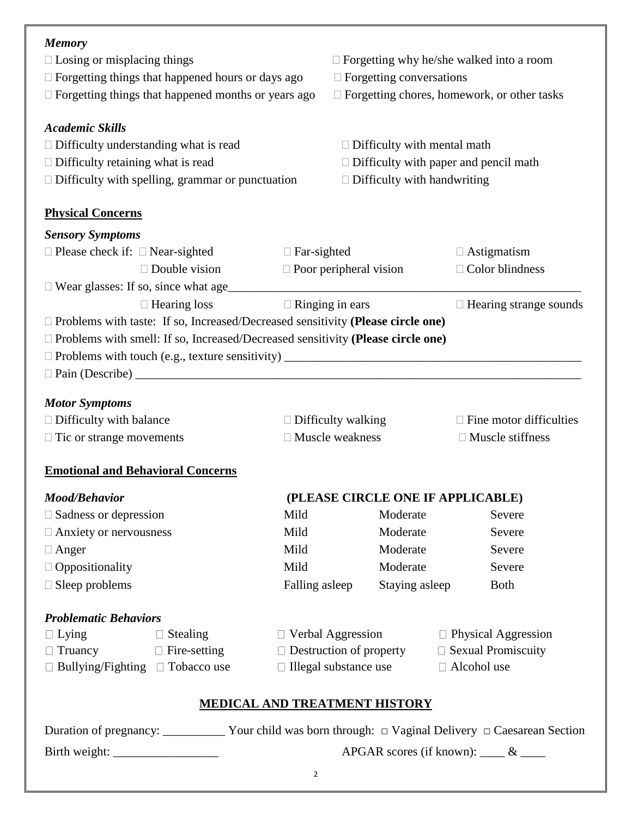## *Memory*

| $\Box$ Losing or misplacing things                                                     |                      |                                      | $\Box$ Forgetting why he/she walked into a room   |                                                    |                            |                                |  |
|----------------------------------------------------------------------------------------|----------------------|--------------------------------------|---------------------------------------------------|----------------------------------------------------|----------------------------|--------------------------------|--|
| $\Box$ Forgetting things that happened hours or days ago                               |                      |                                      | $\Box$ Forgetting conversations                   |                                                    |                            |                                |  |
| $\Box$ Forgetting things that happened months or years ago                             |                      |                                      |                                                   | $\Box$ Forgetting chores, homework, or other tasks |                            |                                |  |
| <b>Academic Skills</b>                                                                 |                      |                                      |                                                   |                                                    |                            |                                |  |
| $\Box$ Difficulty understanding what is read                                           |                      |                                      |                                                   | $\Box$ Difficulty with mental math                 |                            |                                |  |
| $\Box$ Difficulty retaining what is read                                               |                      |                                      |                                                   | $\Box$ Difficulty with paper and pencil math       |                            |                                |  |
| $\Box$ Difficulty with spelling, grammar or punctuation                                |                      |                                      |                                                   | $\Box$ Difficulty with handwriting                 |                            |                                |  |
| <b>Physical Concerns</b>                                                               |                      |                                      |                                                   |                                                    |                            |                                |  |
| <b>Sensory Symptoms</b>                                                                |                      |                                      |                                                   |                                                    |                            |                                |  |
| $\Box$ Please check if: $\Box$ Near-sighted                                            |                      | $\Box$ Far-sighted                   |                                                   |                                                    |                            | $\Box$ Astigmatism             |  |
|                                                                                        | $\Box$ Double vision | $\Box$ Poor peripheral vision        |                                                   |                                                    |                            | $\Box$ Color blindness         |  |
|                                                                                        |                      |                                      |                                                   |                                                    |                            |                                |  |
|                                                                                        | $\Box$ Hearing loss  | $\Box$ Ringing in ears               |                                                   |                                                    |                            | $\Box$ Hearing strange sounds  |  |
| $\Box$ Problems with taste: If so, Increased/Decreased sensitivity (Please circle one) |                      |                                      |                                                   |                                                    |                            |                                |  |
| $\Box$ Problems with smell: If so, Increased/Decreased sensitivity (Please circle one) |                      |                                      |                                                   |                                                    |                            |                                |  |
|                                                                                        |                      |                                      |                                                   |                                                    |                            |                                |  |
|                                                                                        |                      |                                      |                                                   |                                                    |                            |                                |  |
| <b>Motor Symptoms</b>                                                                  |                      |                                      |                                                   |                                                    |                            |                                |  |
| $\Box$ Difficulty with balance                                                         |                      | $\Box$ Difficulty walking            |                                                   |                                                    |                            | $\Box$ Fine motor difficulties |  |
| $\Box$ Tic or strange movements                                                        |                      |                                      | $\Box$ Muscle weakness<br>$\Box$ Muscle stiffness |                                                    |                            |                                |  |
| <b>Emotional and Behavioral Concerns</b>                                               |                      |                                      |                                                   |                                                    |                            |                                |  |
| <b>Mood/Behavior</b>                                                                   |                      |                                      |                                                   | (PLEASE CIRCLE ONE IF APPLICABLE)                  |                            |                                |  |
| $\Box$ Sadness or depression                                                           |                      | Mild                                 |                                                   | Moderate                                           |                            | Severe                         |  |
| $\Box$ Anxiety or nervousness                                                          |                      | Mild                                 |                                                   | Moderate                                           |                            | Severe                         |  |
| $\Box$ Anger                                                                           |                      | Mild                                 |                                                   | Moderate                                           |                            | Severe                         |  |
| $\Box$ Oppositionality                                                                 |                      | Mild                                 |                                                   | Moderate                                           |                            | Severe                         |  |
| $\Box$ Sleep problems                                                                  |                      | Falling asleep                       |                                                   | Staying asleep                                     |                            | <b>Both</b>                    |  |
| <b>Problematic Behaviors</b>                                                           |                      |                                      |                                                   |                                                    |                            |                                |  |
| $\Box$ Lying<br>Stealing                                                               |                      |                                      | $\Box$ Verbal Aggression                          |                                                    | $\Box$ Physical Aggression |                                |  |
| $\Box$ Truancy                                                                         | $\Box$ Fire-setting  |                                      | $\Box$ Destruction of property                    |                                                    |                            | $\Box$ Sexual Promiscuity      |  |
| $\Box$ Bullying/Fighting $\Box$ Tobacco use                                            |                      |                                      | □ Illegal substance use<br>□ Alcohol use          |                                                    |                            |                                |  |
|                                                                                        |                      | <b>MEDICAL AND TREATMENT HISTORY</b> |                                                   |                                                    |                            |                                |  |

| Duration of pregnancy: | Your child was born through: $\Box$ Vaginal Delivery $\Box$ Caesarean Section |
|------------------------|-------------------------------------------------------------------------------|
| Birth weight:          | APGAR scores (if known): $\&$                                                 |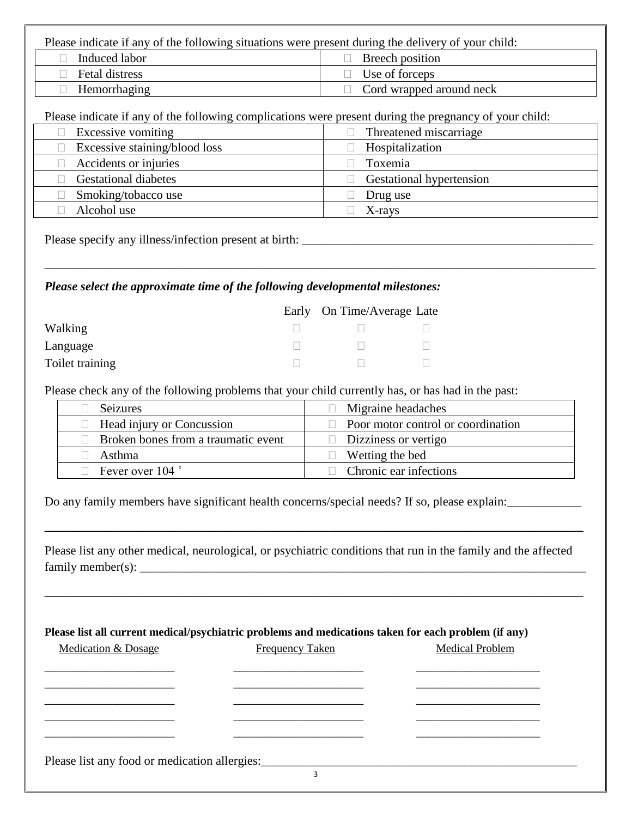Please indicate if any of the following situations were present during the delivery of your child:

| Induced labor  | Breech position                 |
|----------------|---------------------------------|
| Fetal distress | $\Box$ Use of forceps           |
| Hemorrhaging   | $\Box$ Cord wrapped around neck |

Please indicate if any of the following complications were present during the pregnancy of your child:

| Excessive vomiting            | Threatened miscarriage                    |
|-------------------------------|-------------------------------------------|
| Excessive staining/blood loss | Hospitalization                           |
| Accidents or injuries         | Toxemia                                   |
| <b>Gestational diabetes</b>   | <b>Gestational hypertension</b><br>$\Box$ |
| Smoking/tobacco use           | Drug use                                  |
| Alcohol use                   | X-rays                                    |
|                               |                                           |

Please specify any illness/infection present at birth: \_\_\_\_\_\_\_\_\_\_\_\_\_\_\_\_\_\_\_\_\_\_\_\_\_\_\_\_\_\_\_\_\_\_\_\_\_\_\_\_\_\_\_\_\_\_\_

## *Please select the approximate time of the following developmental milestones:*

|                 | Early On Time/Average Late |  |
|-----------------|----------------------------|--|
| Walking         |                            |  |
| Language        |                            |  |
| Toilet training |                            |  |

Please check any of the following problems that your child currently has, or has had in the past:

| <b>Seizures</b>                            | $\Box$ Migraine headaches                 |  |  |
|--------------------------------------------|-------------------------------------------|--|--|
| $\Box$ Head injury or Concussion           | $\Box$ Poor motor control or coordination |  |  |
| $\Box$ Broken bones from a traumatic event | $\Box$ Dizziness or vertigo               |  |  |
| Asthma                                     | $\Box$ Wetting the bed                    |  |  |
| Fever over 104 °                           | Chronic ear infections                    |  |  |

Do any family members have significant health concerns/special needs? If so, please explain:

Please list any other medical, neurological, or psychiatric conditions that run in the family and the affected  $family member(s):$ 

\_\_\_\_\_\_\_\_\_\_\_\_\_\_\_\_\_\_\_\_\_\_\_\_\_\_\_\_\_\_\_\_\_\_\_\_\_\_\_\_\_\_\_\_\_\_\_\_\_\_\_\_\_\_\_\_\_\_\_\_\_\_\_\_\_\_\_\_\_\_\_\_\_\_\_\_\_\_\_\_\_\_\_\_\_\_\_

 $\_$  , and the set of the set of the set of the set of the set of the set of the set of the set of the set of the set of the set of the set of the set of the set of the set of the set of the set of the set of the set of th

| Medication & Dosage | <b>Frequency Taken</b> | <b>Medical Problem</b> |  |
|---------------------|------------------------|------------------------|--|
|                     |                        |                        |  |
|                     |                        |                        |  |
|                     |                        |                        |  |
|                     |                        |                        |  |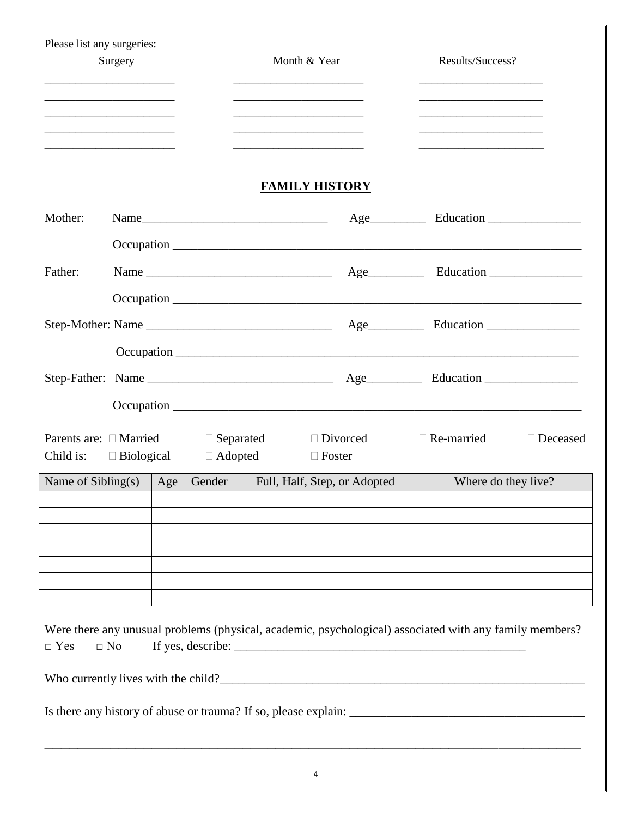| Please list any surgeries:<br>Surgery                                      |           |     | Month & Year |                |                                                                | Results/Success? |                                                                                                         |                 |
|----------------------------------------------------------------------------|-----------|-----|--------------|----------------|----------------------------------------------------------------|------------------|---------------------------------------------------------------------------------------------------------|-----------------|
| the control of the control of the control of the control of the control of |           |     |              |                |                                                                |                  | the control of the control of the control of the control of the control of the control of               |                 |
|                                                                            |           |     |              |                | <b>FAMILY HISTORY</b>                                          |                  |                                                                                                         |                 |
| Mother:                                                                    |           |     |              |                | $Name_$                                                        |                  |                                                                                                         |                 |
|                                                                            |           |     |              |                |                                                                |                  |                                                                                                         |                 |
| Father:                                                                    |           |     |              |                |                                                                |                  |                                                                                                         |                 |
|                                                                            |           |     |              |                |                                                                |                  |                                                                                                         |                 |
|                                                                            |           |     |              |                |                                                                |                  |                                                                                                         |                 |
|                                                                            |           |     |              |                |                                                                |                  |                                                                                                         |                 |
|                                                                            |           |     |              |                |                                                                |                  |                                                                                                         |                 |
|                                                                            |           |     |              |                |                                                                |                  |                                                                                                         |                 |
| Child is: $\square$ Biological                                             |           |     |              | $\Box$ Adopted | Parents are: □ Married □ Separated □ Divorced<br>$\Box$ Foster |                  | $\Box$ Re-married                                                                                       | $\Box$ Deceased |
| Name of $Sibling(s)$                                                       |           | Age | Gender       |                | Full, Half, Step, or Adopted                                   |                  | Where do they live?                                                                                     |                 |
|                                                                            |           |     |              |                |                                                                |                  |                                                                                                         |                 |
|                                                                            |           |     |              |                |                                                                |                  |                                                                                                         |                 |
|                                                                            |           |     |              |                |                                                                |                  |                                                                                                         |                 |
|                                                                            |           |     |              |                |                                                                |                  |                                                                                                         |                 |
| $\Box$ Yes                                                                 | $\Box$ No |     |              |                |                                                                |                  | Were there any unusual problems (physical, academic, psychological) associated with any family members? |                 |
|                                                                            |           |     |              |                |                                                                |                  | Who currently lives with the child?                                                                     |                 |
|                                                                            |           |     |              |                |                                                                |                  |                                                                                                         |                 |